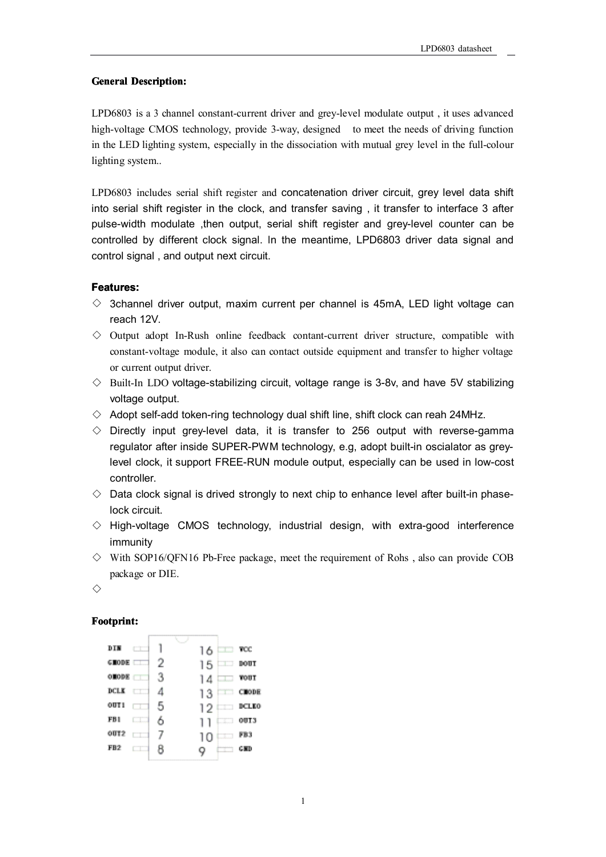## **General General Description:**

LPD6803 is <sup>a</sup> 3 channel constant-current driver and grey-level modulate output , it uses advanced high-voltage CMOS technology, provide 3-way, designed to meet the needs of driving function in the LED lighting system, especially in the dissociation with mutual grey level in the full-colour lighting system..

LPD6803 includes serial shift register and concatenation driver circuit, grey level data shift into serial shift register in the clock, and transfer saving , it transfer to interface 3 after pulse-width modulate ,then output, serial shift register and grey-level counter can be controlled by different clock signal. In the meantime, LPD6803 driver data signal and control signal , and output next circuit.

## **Features: Features:**

- $\diamond$  3channel driver output, maxim current per channel is 45mA, LED light voltage can reach 12V.
- $\diamond$  Output adopt In-Rush online feedback contant-current driver structure, compatible with constant-voltage module, it also can contact outside equipment and transfer to higher voltage or current output driver.
- $\diamond$  Built-In LDO voltage-stabilizing circuit, voltage range is 3-8v, and have 5V stabilizing voltage output.
- $\diamond$  Adopt self-add token-ring technology dual shift line, shift clock can reah 24MHz.
- $\diamond$  Directly input grey-level data, it is transfer to 256 output with reverse-gamma regulator after inside SUPER-PWM technology, e.g, adopt built-in oscialator as greylevel clock, it support FREE-RUN module output, especially can be used in low-cost controller.
- $\Diamond$  Data clock signal is drived strongly to next chip to enhance level after built-in phaselock circuit.
- $\Diamond$  High-voltage CMOS technology, industrial design, with extra-good interference immunity
- $\diamond$  With SOP16/QFN16 Pb-Free package, meet the requirement of Rohs, also can provide COB package or DIE.

◇

# **F ootprint: ootprint:**

| DIN<br><b>COLOR</b> |   | 16               | $\Box$ TOC          |
|---------------------|---|------------------|---------------------|
| <b>GRODE</b>        | 2 | $15 \equiv$ DOUT |                     |
| <b>OHODE</b>        | З | 14               | $\blacksquare$ vour |
| DCLK TT             | 4 | 13               | CDODE               |
| OUT 1<br>ا ہے۔      | 5 | $12$ DCLKO       |                     |
| FB1                 | 6 |                  | 00T3                |
| OUT <sub>2</sub>    |   | 10               | FB3                 |
| FB <sub>2</sub>     |   |                  | <b>GMD</b>          |
|                     |   |                  |                     |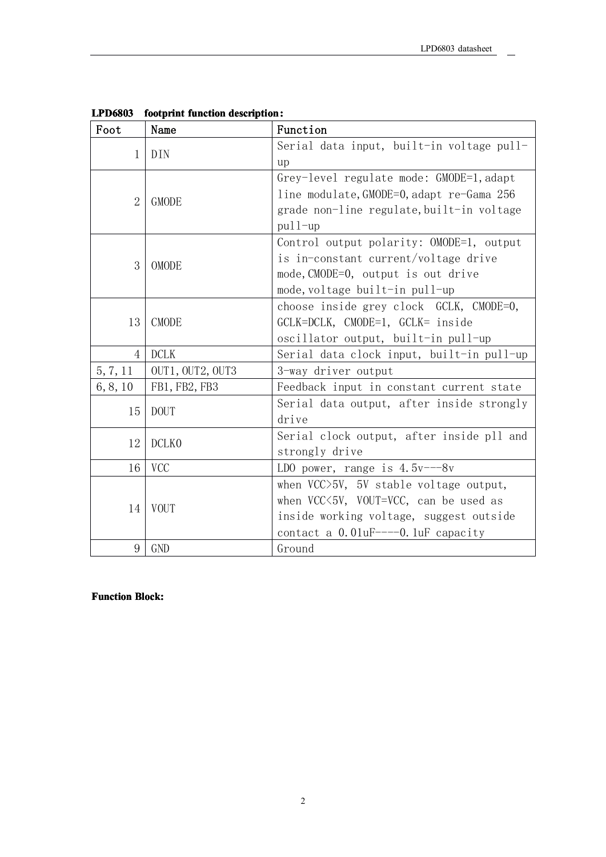| Foot           | Name             | Function                                                                                                                                                                          |
|----------------|------------------|-----------------------------------------------------------------------------------------------------------------------------------------------------------------------------------|
| 1              | DIN              | Serial data input, built-in voltage pull-<br>up                                                                                                                                   |
| $\overline{2}$ | <b>GMODE</b>     | Grey-level regulate mode: GMODE=1, adapt<br>line modulate, GMODE=0, adapt re-Gama 256<br>grade non-line regulate, built-in voltage<br>$pul1-up$                                   |
| 3              | <b>OMODE</b>     | Control output polarity: OMODE=1, output<br>is in-constant current/voltage drive<br>mode, CMODE=0, output is out drive<br>mode, voltage built-in pull-up                          |
| 13             | <b>CMODE</b>     | choose inside grey clock GCLK, CMODE=0,<br>GCLK=DCLK, CMODE=1, GCLK= inside<br>oscillator output, built-in pull-up                                                                |
| 4              | <b>DCLK</b>      | Serial data clock input, built-in pull-up                                                                                                                                         |
| 5, 7, 11       | OUT1, OUT2, OUT3 | 3-way driver output                                                                                                                                                               |
| 6, 8, 10       | FB1, FB2, FB3    | Feedback input in constant current state                                                                                                                                          |
| 15             | <b>DOUT</b>      | Serial data output, after inside strongly<br>drive                                                                                                                                |
| 12             | DCLK0            | Serial clock output, after inside pll and<br>strongly drive                                                                                                                       |
| 16             | <b>VCC</b>       | LDO power, range is $4.5v^{--} - 8v$                                                                                                                                              |
| 14             | <b>VOUT</b>      | when $VCC > 5V$ , 5V stable voltage output,<br>when $VCC\langle 5V, VOUT=VCC, can be used as$<br>inside working voltage, suggest outside<br>contact a $0.01$ uF----0.1uF capacity |
| 9              | <b>GND</b>       | Ground                                                                                                                                                                            |

**LPD6803 LPD6803 footprint footprint function function description description :**

**Function Function Block:**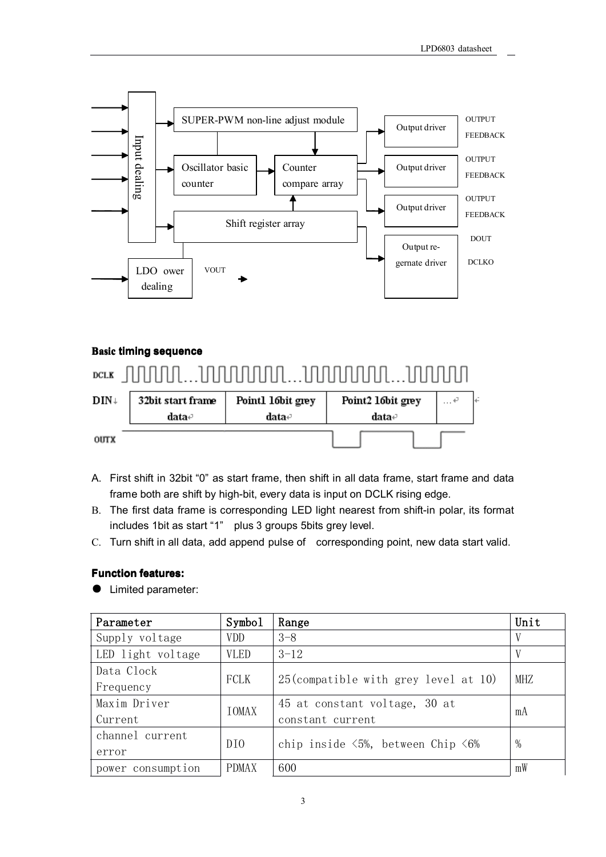

### **Basic timing sequence**

| $DCLK$                  |                                                                   |       |       |  |
|-------------------------|-------------------------------------------------------------------|-------|-------|--|
| $\text{DIN} \downarrow$ | 32bit start frame<br>Point2 16bit grey<br>Point1 16bit grey<br>پ… |       |       |  |
|                         | data∉                                                             | data∉ | data∉ |  |
| $0$ UTX                 |                                                                   |       |       |  |

- A. First shift in 32bit "0" as start frame, then shift in all data frame, start frame and data frame both are shift by high-bit, every data is input on DCLK rising edge.
- B. The first data frame is corresponding LED light nearest from shift-in polar, its format includes 1bit as start "1" plus 3 groups 5bits grey level.
- C. Turn shift in all data, add append pulse of corresponding point, new data start valid.

### **F unction unction features:**

● Limited parameter:

| Parameter         | Symbol          | Range                                                                 | Unit         |
|-------------------|-----------------|-----------------------------------------------------------------------|--------------|
| Supply voltage    | <b>VDD</b>      | $3 - 8$                                                               | V            |
| LED light voltage | <b>VLED</b>     | $3 - 12$                                                              | $\mathbf{V}$ |
| Data Clock        |                 |                                                                       |              |
| Frequency         | FCLK            | $25$ (compatible with grey level at 10)                               | MHZ          |
| Maxim Driver      | IOMAX           | 45 at constant voltage, 30 at                                         |              |
| Current           |                 | constant current                                                      | mA           |
| channel current   | DI <sub>0</sub> |                                                                       | $\%$         |
| error             |                 | chip inside $\langle 5\%, \rangle$ between Chip $\langle 6\% \rangle$ |              |
| power consumption | <b>PDMAX</b>    | 600                                                                   | mW           |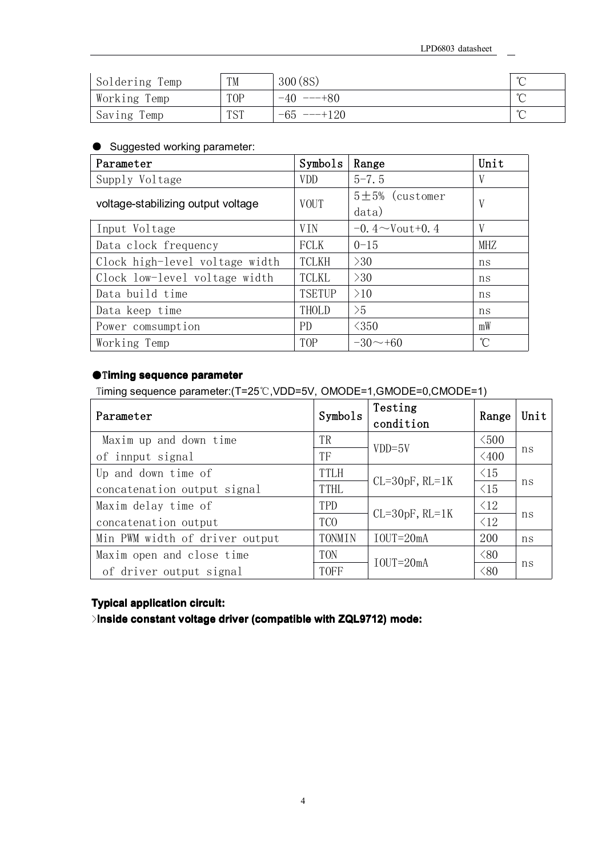$\overline{\phantom{a}}$ 

| Soldering Temp | TM              | 300(8S)       | $\sim$ |
|----------------|-----------------|---------------|--------|
| Working Temp   | T <sub>OP</sub> | $-40$ ---+80  | $\sim$ |
| Saving Temp    | <b>TST</b>      | $-65$ ---+120 | $\sim$ |

## ● Suggested working parameter:

| Parameter                          | Symbols       | Range                   | Unit |
|------------------------------------|---------------|-------------------------|------|
| Supply Voltage                     | <b>VDD</b>    | $5 - 7.5$               | V    |
| voltage-stabilizing output voltage | <b>VOUT</b>   | $5±5%$ (customer        |      |
|                                    |               | data)                   |      |
| Input Voltage                      | <b>VIN</b>    | $-0.4 \sim$ Vout $+0.4$ |      |
| Data clock frequency               | FCLK          | $0 - 15$                | MHZ  |
| Clock high-level voltage width     | <b>TCLKH</b>  | >30                     | ns   |
| Clock low-level voltage width      | <b>TCLKL</b>  | >30                     | ns   |
| Data build time                    | <b>TSETUP</b> | >10                     | ns   |
| Data keep time                     | THOLD         | >5                      | ns   |
| Power comsumption                  | PD            | $\leq$ 350              | mW   |
| Working Temp                       | <b>TOP</b>    | $-30 \sim +60$          | °C   |

# ●T**iming sequence sequence parameter**

Timing sequence parameter:(T=25℃,VDD=5V, OMODE=1,GMODE=0,CMODE=1)

| Parameter                      | Symbols         | Testing<br>condition | Range          | Unit |
|--------------------------------|-----------------|----------------------|----------------|------|
| Maxim up and down time         | TR              | $VDD=5V$             | $\leq 500$     |      |
| of innput signal               | TF              |                      | $\leq 400$     | ns   |
| Up and down time of            | <b>TTLH</b>     |                      | $\triangle$ 15 |      |
| concatenation output signal    | <b>TTHL</b>     | $CL=30pF$ , $RL=1K$  | $\leq 15$      | ns   |
| Maxim delay time of            | TPD             |                      | $\leq$ 12      |      |
| concatenation output           | TC <sub>0</sub> | $CL=30pF$ , $RL=1K$  | $\langle 12$   | ns   |
| Min PWM width of driver output | TONMIN          | $IOUT=20mA$          | 200            | ns   |
| Maxim open and close time      | <b>TON</b>      | $IOUT=20mA$          | $\langle 80$   |      |
| of driver output signal        | <b>TOFF</b>     |                      | <80            | ns   |

# **Typical Typical application application circuit: circuit:**

>**Inside constant constant voltage voltage driver (compatible with ZQL9712) mode:**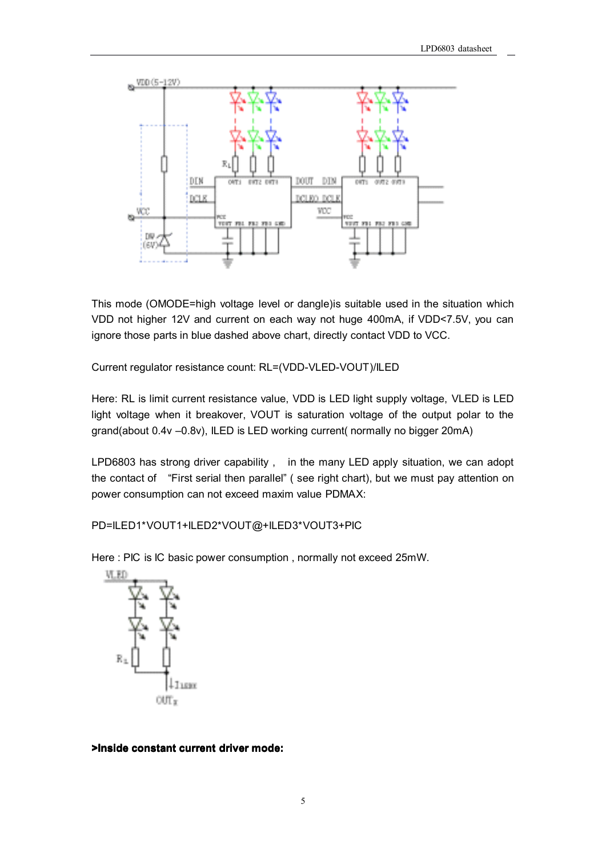

This mode (OMODE=high voltage level or dangle)is suitable used in the situation which VDD not higher 12V and current on each way not huge 400mA, if VDD<7.5V, you can ignore those parts in blue dashed above chart, directly contact VDD to VCC.

Current regulator resistance count: RL=(VDD-VLED-VOUT)/ILED

Here: RL is limit current resistance value, VDD is LED light supply voltage, VLED is LED light voltage when it breakover, VOUT is saturation voltage of the output polar to the grand(about 0.4v –0.8v), ILED is LED working current( normally no bigger 20mA)

LPD6803 has strong driver capability , in the many LED apply situation, we can adopt the contact of "First serial then parallel" ( see right chart), but we must pay attention on power consumption can not exceed maxim value PDMAX:

PD=ILED1\*VOUT1+ILED2\*VOUT@+ILED3\*VOUT3+PIC

Here : PIC is IC basic power consumption , normally not exceed 25mW.



#### **>Inside constant current driver mode:**

5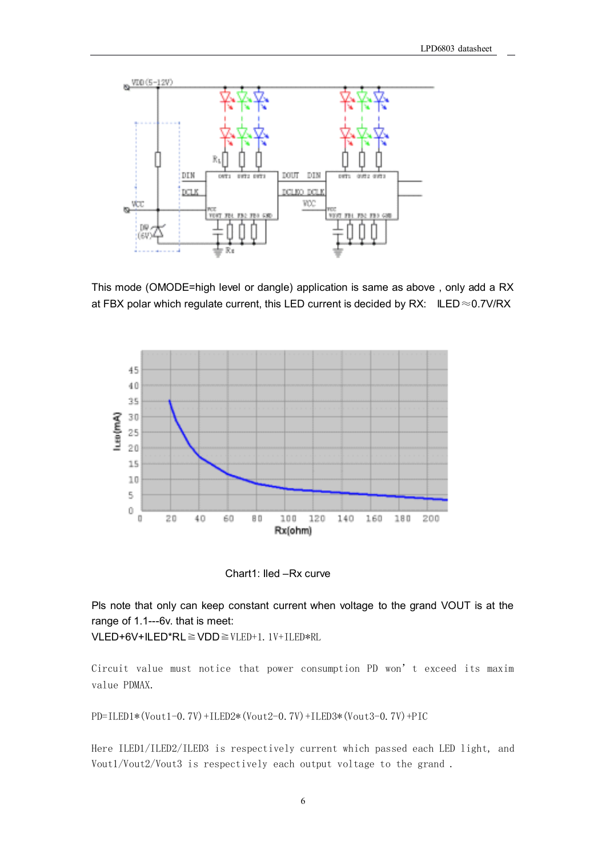

This mode (OMODE=high level or dangle) application is same as above , only add <sup>a</sup> RX at FBX polar which regulate current, this LED current is decided by RX: ILED $\approx$ 0.7V/RX



Chart1: Iled –Rx curve

Pls note that only can keep constant current when voltage to the grand VOUT is at the range of 1.1---6v. that is meet:

VLED+6V+ILED\*RL≧VDD≧VLED+1.1V+ILED\*RL

Circuit value must notice that power consumption PD won't exceed its maxim value PDMAX.

PD=ILED1\*(Vout1-0.7V)+ILED2\*(Vout2-0.7V)+ILED3\*(Vout3-0.7V)+PIC

Here ILED1/ILED2/ILED3 is respectively current which passed each LED light, and Vout1/Vout2/Vout3 is respectively each output voltage to the grand .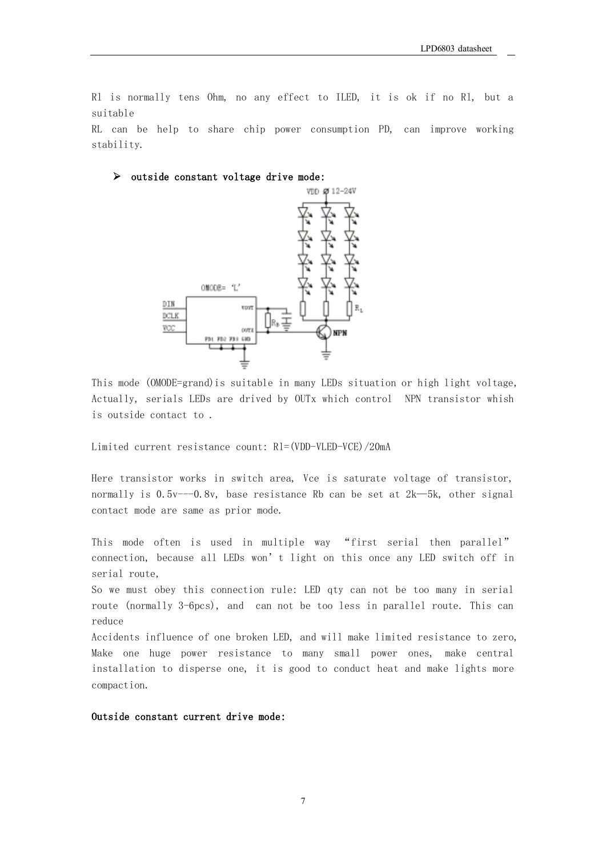Rl is normally tens Ohm, no any effect to ILED, it is ok if no Rl, but <sup>a</sup> suitable

RL can be help to share chip power consumption PD, can improve working stability.

#### $\triangleright$  outside constant voltage drive mode:



This mode (OMODE=grand)is suitable in many LEDs situation or high light voltage, Actually, serials LEDs are drived by OUTx which control NPN transistor whish is outside contact to .

Limited current resistance count: Rl=(VDD-VLED-VCE)/20mA

Here transistor works in switch area, Vce is saturate voltage of transistor, normally is 0.5v---0.8v, base resistance Rb can be set at 2k—5k, other signal contact mode are same as prior mode.

This mode often is used in multiple way "first serial then parallel" connection, because all LEDs won't light on this once any LED switch off in serial route,

So we must obey this connection rule: LED qty can not be too many in serial route (normally 3-6pcs), and can not be too less in parallel route. This can reduce

Accidents influence of one broken LED, and will make limited resistance to zero, Make one huge power resistance to many small power ones, make central installation to disperse one, it is good to conduct heat and make lights more compaction.

Outside constant current drive mode: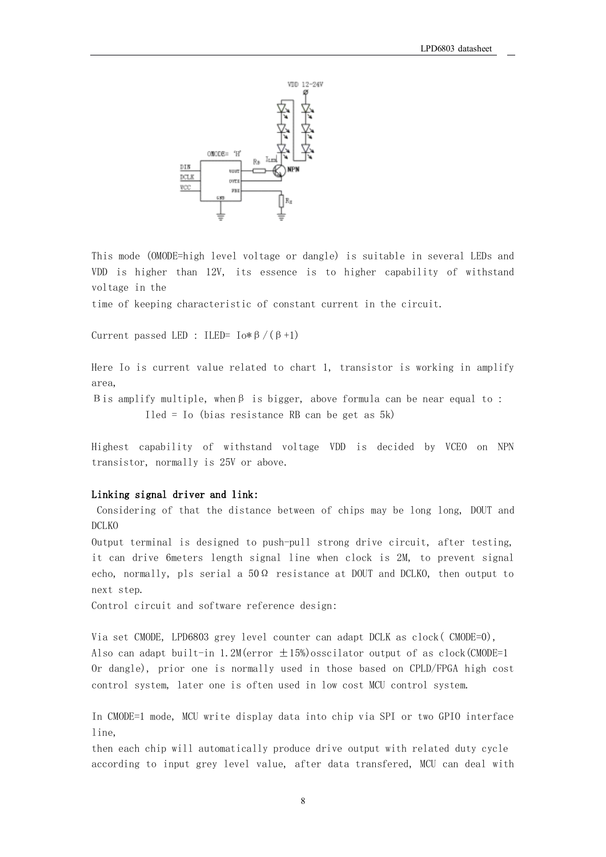

This mode (OMODE=high level voltage or dangle) is suitable in several LEDs and VDD is higher than 12V, its essence is to higher capability of withstand voltage in the

time of keeping characteristic of constant current in the circuit.

Current passed LED : ILED= Io\*β/(β+1)

Here Io is current value related to chart 1, transistor is working in amplify area,

Βis amplify multiple, whenβ is bigger, above formula can be near equal to : Iled <sup>=</sup> Io (bias resistance RB can be get as 5k)

Highest capability of withstand voltage VDD is decided by VCEO on NPN transistor, normally is 25V or above.

### Linking signal driver and link:

Considering of that the distance between of chips may be long long, DOUT and DCLKO

Output terminal is designed to push-pull strong drive circuit, after testing, it can drive 6meters length signal line when clock is 2M, to prevent signal echo, normally, pls serial a  $50\Omega$  resistance at DOUT and DCLKO, then output to next step.

Control circuit and software reference design:

Via set CMODE, LPD6803 grey level counter can adapt DCLK as clock( CMODE=0), Also can adapt built-in 1.2M(error ±15%)osscilator output of as clock(CMODE=1 Or dangle), prior one is normally used in those based on CPLD/FPGA high cost control system, later one is often used in low cost MCU control system.

In CMODE=1 mode, MCU write display data into chip via SPI or two GPIO interface line,

then each chip will automatically produce drive output with related duty cycle according to input grey level value, after data transfered, MCU can deal with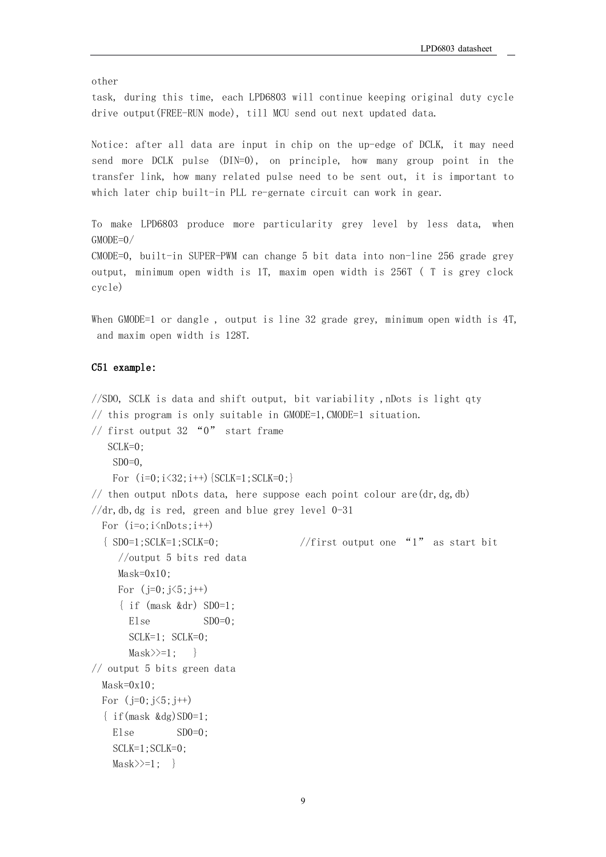other

task, during this time, each LPD6803 will continue keeping original duty cycle drive output(FREE-RUN mode), till MCU send out next updated data.

Notice: after all data are input in chip on the up-edge of DCLK, it may need send more DCLK pulse (DIN=0), on principle, how many group point in the transfer link, how many related pulse need to be sent out, it is important to which later chip built-in PLL re-gernate circuit can work in gear.

To make LPD6803 produce more particularity grey level by less data, when GMODE=0/

CMODE=0, built-in SUPER-PWM can change 5 bit data into non-line 256 grade grey output, minimum open width is 1T, maxim open width is 256T ( T is grey clock cycle)

When GMODE=1 or dangle , output is line 32 grade grey, minimum open width is 4T, and maxim open width is 128T.

#### C51 example:

//SDO, SCLK is data and shift output, bit variability ,nDots is light qty // this program is only suitable in GMODE=1,CMODE=1 situation. // first output  $32$  "0" start frame SCLK=0;  $SDO=0$ , For  $(i=0; i<32; i++)$  {SCLK=1; SCLK=0; } // then output nDots data, here suppose each point colour are  $(dr, dg, db)$  $//dr, db, dg$  is red, green and blue grey level 0-31 For  $(i=0; i \n<sub>0</sub>)$ { SD0=1;SCLK=1;SCLK=0; //first output one "1" as start bit //output 5 bits red data  $Mask=0x10$ : For  $(j=0; j<5; j++)$ { if (mask &dr) SD0=1; Else $SD0=0$ : SCLK=1; SCLK=0;  ${\rm Mask} \geq -1$ : // output 5 bits green data  $Mask=0x10$ : For  $(j=0; j<5; j++)$  $\{ \text{if}(\text{mask } \& \text{dg}) \text{SD0}=1; \}$ Else $SD0=0$ : SCLK=1;SCLK=0;  ${\rm Mask} \geq -1$ ; }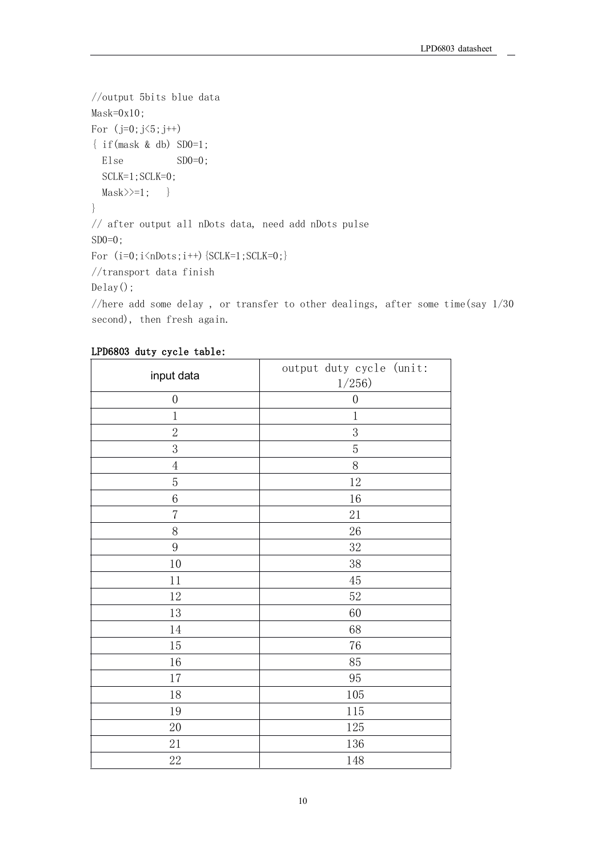```
//output 5bits blue data
Mask=0x10;
For (j=0; j<5; j++){ if(mask & db) SD0=1;
  Else SD0=0;
  SCLK=1;SCLK=0;
  {\rm Mask} \geq -1; }
}
// after output all nDots data, need add nDots pulse
SD0=0:
For (i=0; i \le nDots; i++) {SCLK=1; SCLK=0;}
//transport data finish
Delay();
```
//here add some delay , or transfer to other dealings, after some time(say 1/30 second), then fresh again.

| input data       | output duty cycle (unit:<br>1/256 |  |
|------------------|-----------------------------------|--|
| $\boldsymbol{0}$ | $\boldsymbol{0}$                  |  |
| $1\,$            | $\,1$                             |  |
| $\overline{2}$   | $\sqrt{3}$                        |  |
| 3                | $\mathbf 5$                       |  |
| $\overline{4}$   | $8\,$                             |  |
| $\overline{5}$   | 12                                |  |
| $\boldsymbol{6}$ | 16                                |  |
| $\overline{7}$   | 21                                |  |
| $8\,$            | 26                                |  |
| 9                | 32                                |  |
| 10               | 38                                |  |
| 11               | 45                                |  |
| 12               | 52                                |  |
| 13               | 60                                |  |
| 14               | 68                                |  |
| 15               | 76                                |  |
| 16               | 85                                |  |
| 17               | 95                                |  |
| 18               | 105                               |  |
| 19               | 115                               |  |
| $20\,$           | 125                               |  |
| $21\,$           | 136                               |  |
| $22\,$           | 148                               |  |

#### LPD6803 duty cycle table: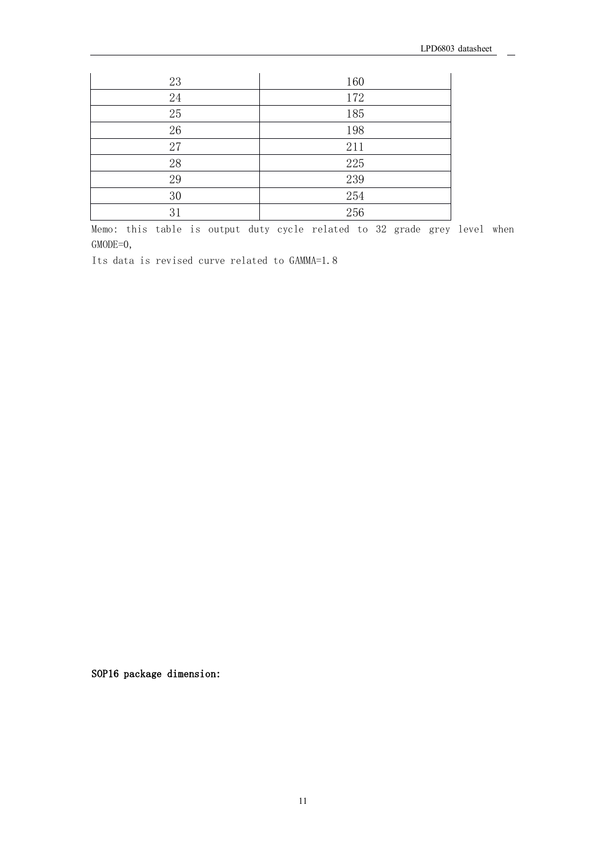| 23     | 160 |
|--------|-----|
| 24     | 172 |
| $25\,$ | 185 |
| 26     | 198 |
| 27     | 211 |
| 28     | 225 |
| 29     | 239 |
| 30     | 254 |
| 31     | 256 |

Memo: this table is output duty cycle related to 32 grade grey level when GMODE=0,

Its data is revised curve related to GAMMA=1.8

SOP16 package dimension: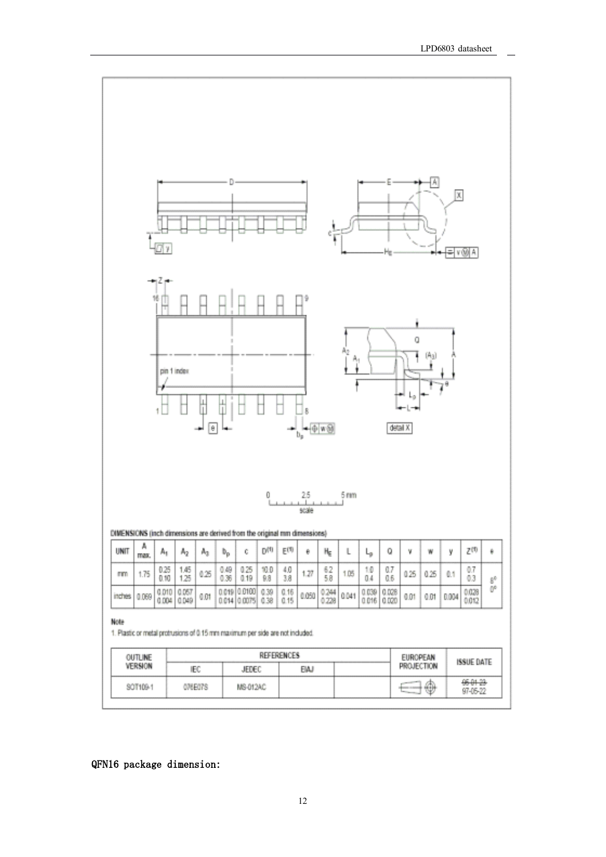97-05-22



## QFN16 package dimension: